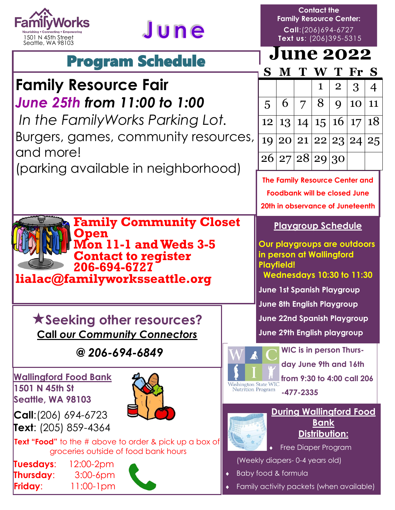



## Program Schedule

### **Family Resource Fair** *June 25th from 11:00 to 1:00*

*In the FamilyWorks Parking Lot.* Burgers, games, community resources, and more!

(parking available in neighborhood)

**Family Community Closet** 

**Mon 11-1 and Weds 3-5**

**Contact to register** 

**Contact the Family Resource Center: Call**:(206)694-6727 **Text us**: (206)395-5315

## **June 2022**

| S. | M T |                             | W T Fr S          |          |
|----|-----|-----------------------------|-------------------|----------|
|    |     | $\mathbf{1}$                | $\vert 2 \vert 3$ | $\mid 4$ |
|    |     | 5   6   7   8   9   10   11 |                   |          |
|    |     | 12 13 14 15 16 17 18        |                   |          |
|    |     | 19 20 21 22 23 24 25        |                   |          |
|    |     | $\boxed{26 27 28 29 30}$    |                   |          |

**The Family Resource Center and Foodbank will be closed June 20th in observance of Juneteenth**

#### **Playgroup Schedule**

**Our playgroups are outdoors in person at Wallingford Playfield!**

**Wednesdays 10:30 to 11:30**

**June 1st Spanish Playgroup**

**June 8th English Playgroup**

**June 22nd Spanish Playgroup**

**June 29th English playgroup** 



**WIC is in person Thursday June 9th and 16th from 9:30 to 4:00 call 206**

Nutrition Program **-477-2335** 



#### **During Wallingford Food Bank Distribution:**

Free Diaper Program

(Weekly diapers- 0-4 years old)

- Baby food & formula
- Family activity packets (when available)

**Seeking other resources? Call** *our Community Connectors*

**206-694-6727 lialac@familyworksseattle.org**

**Open** 

 *@ 206-694-6849*

**Wallingford Food Bank 1501 N 45th St Seattle, WA 98103**



**Call**:(206) 694-6723 **Text**: (205) 859-4364

**Text "Food"** to the # above to order & pick up a box of groceries outside of food bank hours

**Tuesdays**: 12:00-2pm **Thursday**: 3:00-6pm **Friday**: 11:00-1pm